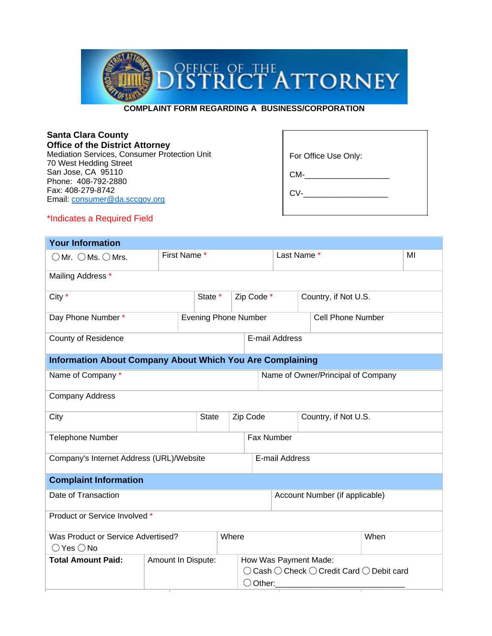

**COMPLAINT FORM REGARDING A BUSINESS/CORPORATION**

| <b>Santa Clara County</b><br><b>Office of the District Attorney</b>    |                      |
|------------------------------------------------------------------------|----------------------|
| Mediation Services, Consumer Protection Unit<br>70 West Hedding Street | For Office Use Only: |
| San Jose, CA 95110<br>Phone: 408-792-2880                              | CM-                  |
| Fax: 408-279-8742<br>Email: consumer@da.sccgov.org                     | CV-                  |
| *Indicates a Required Field                                            |                      |

## **Your Information** OMr. OMs. OMrs. First Name \* Last Name \* MI Mailing Address \* City \* City \* State \* Zip Code \* Country, if Not U.S. Day Phone Number \* **Evening Phone Number** Cell Phone Number County of Residence **E-mail Address Information About Company About Which You Are Complaining** Name of Company \* The Company of Company and Company Name of Owner/Principal of Company Company Address City **State Zip Code** Country, if Not U.S. Telephone Number **Fax Number** Fax Number Company's Internet Address (URL)/Website | E-mail Address **Complaint Information** Date of Transaction **Account Number (if applicable)** Account Number (if applicable) Product or Service Involved \* Was Product or Service Advertised?  $\bigcirc$  Yes  $\bigcirc$  No Where When When **Total Amount Paid:** Amount In Dispute: | How Was Payment Made:  $\bigcirc$  Cash  $\bigcirc$  Check  $\bigcirc$  Credit Card  $\bigcirc$  Debit card  $\bigcirc$  Other: